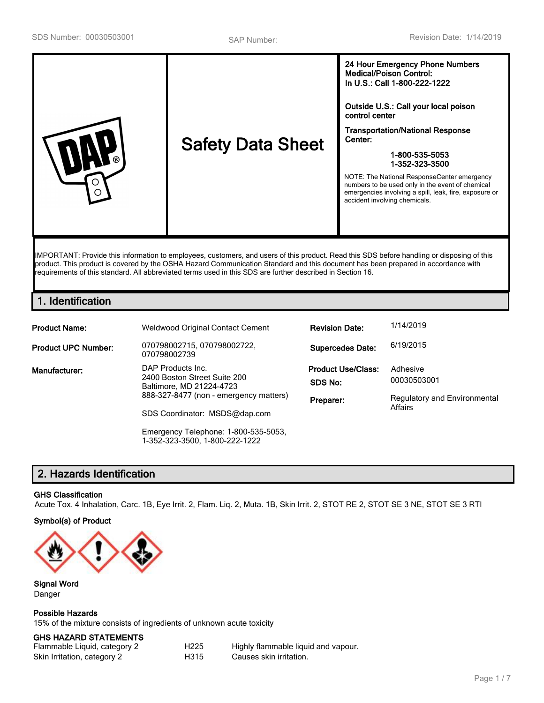| <b>Safety Data Sheet</b><br>ര<br>∩ | 24 Hour Emergency Phone Numbers<br><b>Medical/Poison Control:</b><br>In U.S.: Call 1-800-222-1222<br>Outside U.S.: Call your local poison<br>control center<br><b>Transportation/National Response</b><br>Center:<br>1-800-535-5053<br>1-352-323-3500<br>NOTE: The National ResponseCenter emergency<br>numbers to be used only in the event of chemical<br>emergencies involving a spill, leak, fire, exposure or<br>accident involving chemicals. |
|------------------------------------|-----------------------------------------------------------------------------------------------------------------------------------------------------------------------------------------------------------------------------------------------------------------------------------------------------------------------------------------------------------------------------------------------------------------------------------------------------|
|------------------------------------|-----------------------------------------------------------------------------------------------------------------------------------------------------------------------------------------------------------------------------------------------------------------------------------------------------------------------------------------------------------------------------------------------------------------------------------------------------|

IMPORTANT: Provide this information to employees, customers, and users of this product. Read this SDS before handling or disposing of this product. This product is covered by the OSHA Hazard Communication Standard and this document has been prepared in accordance with requirements of this standard. All abbreviated terms used in this SDS are further described in Section 16.

# **1. Identification**

| <b>Product Name:</b>       | <b>Weldwood Original Contact Cement</b>                  | <b>Revision Date:</b>     | 1/14/2019                           |  |
|----------------------------|----------------------------------------------------------|---------------------------|-------------------------------------|--|
| <b>Product UPC Number:</b> | 070798002715, 070798002722,<br>070798002739              | <b>Supercedes Date:</b>   | 6/19/2015                           |  |
| Manufacturer:              | DAP Products Inc.                                        | <b>Product Use/Class:</b> | Adhesive                            |  |
|                            | 2400 Boston Street Suite 200<br>Baltimore, MD 21224-4723 | SDS No:                   | 00030503001                         |  |
|                            | 888-327-8477 (non - emergency matters)                   | Preparer:                 | <b>Regulatory and Environmental</b> |  |
|                            | SDS Coordinator: MSDS@dap.com                            |                           | Affairs                             |  |
|                            | Emergency Telephone: 1-800-535-5053,                     |                           |                                     |  |

1-352-323-3500, 1-800-222-1222

# **2. Hazards Identification**

## **GHS Classification**

Acute Tox. 4 Inhalation, Carc. 1B, Eye Irrit. 2, Flam. Liq. 2, Muta. 1B, Skin Irrit. 2, STOT RE 2, STOT SE 3 NE, STOT SE 3 RTI

## **Symbol(s) of Product**



### **Signal Word** Danger

**Possible Hazards**

15% of the mixture consists of ingredients of unknown acute toxicity

## **GHS HAZARD STATEMENTS**

| Flammable Liquid, category 2 | H225 | Highly flammable liquid and vapour. |
|------------------------------|------|-------------------------------------|
| Skin Irritation, category 2  | H315 | Causes skin irritation.             |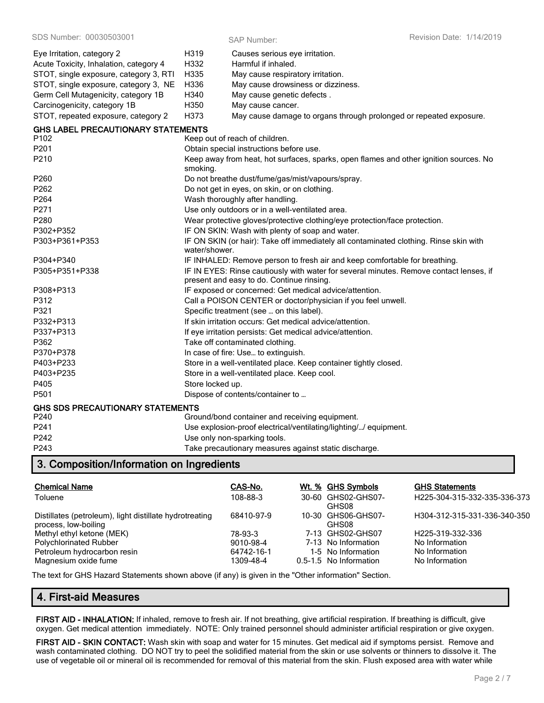| Eye Irritation, category 2                | H319                                                                                                   | Causes serious eye irritation.                                                                                                      |  |
|-------------------------------------------|--------------------------------------------------------------------------------------------------------|-------------------------------------------------------------------------------------------------------------------------------------|--|
| Acute Toxicity, Inhalation, category 4    | H332                                                                                                   | Harmful if inhaled.                                                                                                                 |  |
| STOT, single exposure, category 3, RTI    | H335                                                                                                   | May cause respiratory irritation.                                                                                                   |  |
| STOT, single exposure, category 3, NE     | H336                                                                                                   | May cause drowsiness or dizziness.                                                                                                  |  |
| Germ Cell Mutagenicity, category 1B       | H340                                                                                                   | May cause genetic defects.                                                                                                          |  |
| Carcinogenicity, category 1B              | H350                                                                                                   | May cause cancer.                                                                                                                   |  |
| STOT, repeated exposure, category 2       | H373                                                                                                   | May cause damage to organs through prolonged or repeated exposure.                                                                  |  |
| <b>GHS LABEL PRECAUTIONARY STATEMENTS</b> |                                                                                                        |                                                                                                                                     |  |
| P <sub>102</sub>                          |                                                                                                        | Keep out of reach of children.                                                                                                      |  |
| P201                                      |                                                                                                        | Obtain special instructions before use.                                                                                             |  |
| P210                                      | smoking.                                                                                               | Keep away from heat, hot surfaces, sparks, open flames and other ignition sources. No                                               |  |
| P260                                      |                                                                                                        | Do not breathe dust/fume/gas/mist/vapours/spray.                                                                                    |  |
| P262                                      |                                                                                                        | Do not get in eyes, on skin, or on clothing.                                                                                        |  |
| P264                                      |                                                                                                        | Wash thoroughly after handling.                                                                                                     |  |
| P271                                      |                                                                                                        | Use only outdoors or in a well-ventilated area.                                                                                     |  |
| P280                                      |                                                                                                        | Wear protective gloves/protective clothing/eye protection/face protection.                                                          |  |
| P302+P352                                 | IF ON SKIN: Wash with plenty of soap and water.                                                        |                                                                                                                                     |  |
| P303+P361+P353                            | IF ON SKIN (or hair): Take off immediately all contaminated clothing. Rinse skin with<br>water/shower. |                                                                                                                                     |  |
| P304+P340                                 |                                                                                                        | IF INHALED: Remove person to fresh air and keep comfortable for breathing.                                                          |  |
| P305+P351+P338                            |                                                                                                        | IF IN EYES: Rinse cautiously with water for several minutes. Remove contact lenses, if<br>present and easy to do. Continue rinsing. |  |
| P308+P313                                 |                                                                                                        | IF exposed or concerned: Get medical advice/attention.                                                                              |  |
| P312                                      | Call a POISON CENTER or doctor/physician if you feel unwell.                                           |                                                                                                                                     |  |
| P321                                      |                                                                                                        | Specific treatment (see  on this label).                                                                                            |  |
| P332+P313                                 |                                                                                                        | If skin irritation occurs: Get medical advice/attention.                                                                            |  |
| P337+P313                                 |                                                                                                        | If eye irritation persists: Get medical advice/attention.                                                                           |  |
| P362                                      |                                                                                                        | Take off contaminated clothing.                                                                                                     |  |
| P370+P378                                 |                                                                                                        | In case of fire: Use to extinguish.                                                                                                 |  |
| P403+P233                                 |                                                                                                        | Store in a well-ventilated place. Keep container tightly closed.                                                                    |  |
| P403+P235                                 | Store in a well-ventilated place. Keep cool.                                                           |                                                                                                                                     |  |
| P405                                      | Store locked up.                                                                                       |                                                                                                                                     |  |
| P501                                      |                                                                                                        | Dispose of contents/container to                                                                                                    |  |
| GHS SDS PRECAUTIONARY STATEMENTS          |                                                                                                        |                                                                                                                                     |  |
| P <sub>240</sub>                          |                                                                                                        | Ground/bond container and receiving equipment.                                                                                      |  |
| P241                                      |                                                                                                        | Use explosion-proof electrical/ventilating/lighting// equipment.                                                                    |  |
| P242                                      |                                                                                                        | Use only non-sparking tools.                                                                                                        |  |

# **3. Composition/Information on Ingredients**

| <b>Chemical Name</b>                                                            | CAS-No.    | Wt. % GHS Symbols           | <b>GHS Statements</b>        |
|---------------------------------------------------------------------------------|------------|-----------------------------|------------------------------|
| Toluene                                                                         | 108-88-3   | 30-60 GHS02-GHS07-<br>GHS08 | H225-304-315-332-335-336-373 |
| Distillates (petroleum), light distillate hydrotreating<br>process, low-boiling | 68410-97-9 | 10-30 GHS06-GHS07-<br>GHS08 | H304-312-315-331-336-340-350 |
| Methyl ethyl ketone (MEK)                                                       | 78-93-3    | 7-13 GHS02-GHS07            | H225-319-332-336             |
| <b>Polychlorinated Rubber</b>                                                   | 9010-98-4  | 7-13 No Information         | No Information               |
| Petroleum hydrocarbon resin                                                     | 64742-16-1 | 1-5 No Information          | No Information               |
| Magnesium oxide fume                                                            | 1309-48-4  | 0.5-1.5 No Information      | No Information               |

The text for GHS Hazard Statements shown above (if any) is given in the "Other information" Section.

P243 Take precautionary measures against static discharge.

# **4. First-aid Measures**

**FIRST AID - INHALATION:** If inhaled, remove to fresh air. If not breathing, give artificial respiration. If breathing is difficult, give oxygen. Get medical attention immediately. NOTE: Only trained personnel should administer artificial respiration or give oxygen.

**FIRST AID - SKIN CONTACT:** Wash skin with soap and water for 15 minutes. Get medical aid if symptoms persist. Remove and wash contaminated clothing. DO NOT try to peel the solidified material from the skin or use solvents or thinners to dissolve it. The use of vegetable oil or mineral oil is recommended for removal of this material from the skin. Flush exposed area with water while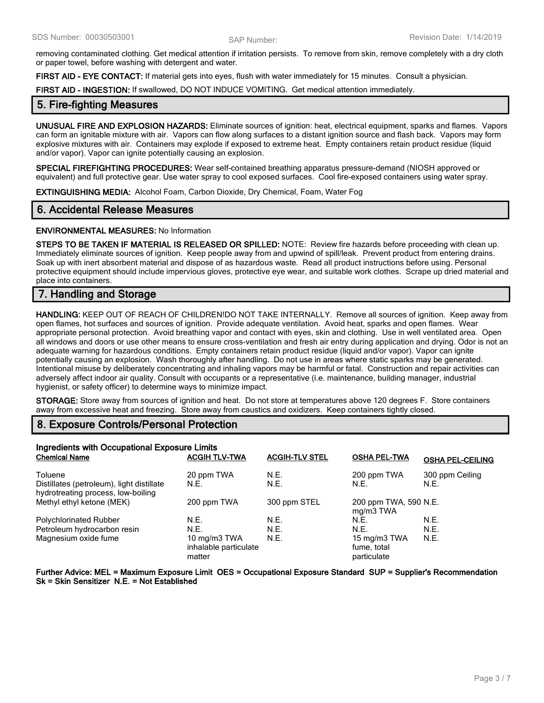removing contaminated clothing. Get medical attention if irritation persists. To remove from skin, remove completely with a dry cloth or paper towel, before washing with detergent and water.

**FIRST AID - EYE CONTACT:** If material gets into eyes, flush with water immediately for 15 minutes. Consult a physician.

**FIRST AID - INGESTION:** If swallowed, DO NOT INDUCE VOMITING. Get medical attention immediately.

## **5. Fire-fighting Measures**

**UNUSUAL FIRE AND EXPLOSION HAZARDS:** Eliminate sources of ignition: heat, electrical equipment, sparks and flames. Vapors can form an ignitable mixture with air. Vapors can flow along surfaces to a distant ignition source and flash back. Vapors may form explosive mixtures with air. Containers may explode if exposed to extreme heat. Empty containers retain product residue (liquid and/or vapor). Vapor can ignite potentially causing an explosion.

**SPECIAL FIREFIGHTING PROCEDURES:** Wear self-contained breathing apparatus pressure-demand (NIOSH approved or equivalent) and full protective gear. Use water spray to cool exposed surfaces. Cool fire-exposed containers using water spray.

**EXTINGUISHING MEDIA:** Alcohol Foam, Carbon Dioxide, Dry Chemical, Foam, Water Fog

## **6. Accidental Release Measures**

### **ENVIRONMENTAL MEASURES:** No Information

**STEPS TO BE TAKEN IF MATERIAL IS RELEASED OR SPILLED:** NOTE: Review fire hazards before proceeding with clean up. Immediately eliminate sources of ignition. Keep people away from and upwind of spill/leak. Prevent product from entering drains. Soak up with inert absorbent material and dispose of as hazardous waste. Read all product instructions before using. Personal protective equipment should include impervious gloves, protective eye wear, and suitable work clothes. Scrape up dried material and place into containers.

# **7. Handling and Storage**

**HANDLING:** KEEP OUT OF REACH OF CHILDREN!DO NOT TAKE INTERNALLY. Remove all sources of ignition. Keep away from open flames, hot surfaces and sources of ignition. Provide adequate ventilation. Avoid heat, sparks and open flames. Wear appropriate personal protection. Avoid breathing vapor and contact with eyes, skin and clothing. Use in well ventilated area. Open all windows and doors or use other means to ensure cross-ventilation and fresh air entry during application and drying. Odor is not an adequate warning for hazardous conditions. Empty containers retain product residue (liquid and/or vapor). Vapor can ignite potentially causing an explosion. Wash thoroughly after handling. Do not use in areas where static sparks may be generated. Intentional misuse by deliberately concentrating and inhaling vapors may be harmful or fatal. Construction and repair activities can adversely affect indoor air quality. Consult with occupants or a representative (i.e. maintenance, building manager, industrial hygienist, or safety officer) to determine ways to minimize impact.

**STORAGE:** Store away from sources of ignition and heat. Do not store at temperatures above 120 degrees F. Store containers away from excessive heat and freezing. Store away from caustics and oxidizers. Keep containers tightly closed.

# **8. Exposure Controls/Personal Protection**

| Ingredients with Occupational Exposure Limits<br><b>Chemical Name</b><br><b>ACGIH TLV-TWA</b><br><b>ACGIH-TLV STEL</b><br><b>OSHA PEL-TWA</b><br><b>OSHA PEL-CEILING</b> |                                                 |              |                                            |                         |
|--------------------------------------------------------------------------------------------------------------------------------------------------------------------------|-------------------------------------------------|--------------|--------------------------------------------|-------------------------|
| Toluene<br>Distillates (petroleum), light distillate                                                                                                                     | 20 ppm TWA<br>N.E.                              | N.E.<br>N.E. | 200 ppm TWA<br>N.E.                        | 300 ppm Ceiling<br>N.E. |
| hydrotreating process, low-boiling<br>Methyl ethyl ketone (MEK)                                                                                                          | 200 ppm TWA                                     | 300 ppm STEL | 200 ppm TWA, 590 N.E.<br>mg/m3 TWA         |                         |
| Polychlorinated Rubber                                                                                                                                                   | N.E.                                            | N.E.         | N.E.                                       | N.E.                    |
| Petroleum hydrocarbon resin                                                                                                                                              | N.E.                                            | N.E.         | N.E.                                       | N.E.                    |
| Magnesium oxide fume                                                                                                                                                     | 10 mg/m3 TWA<br>inhalable particulate<br>matter | N.E.         | 15 mg/m3 TWA<br>fume, total<br>particulate | N.E.                    |

**Further Advice: MEL = Maximum Exposure Limit OES = Occupational Exposure Standard SUP = Supplier's Recommendation Sk = Skin Sensitizer N.E. = Not Established**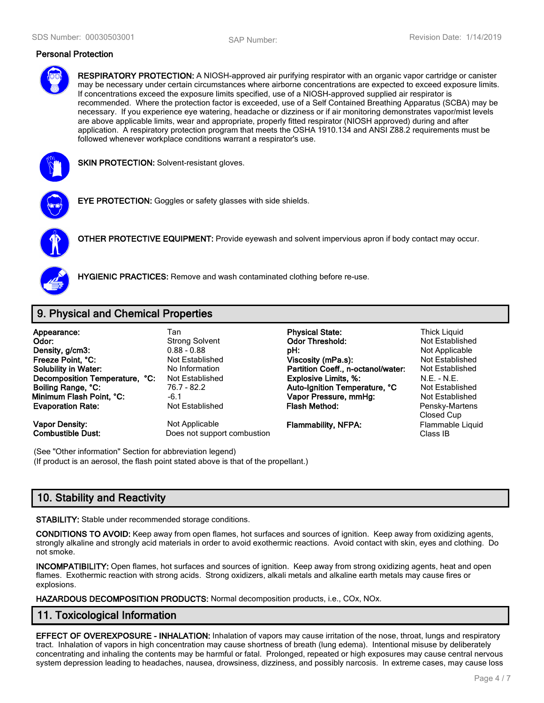## **Personal Protection**



**RESPIRATORY PROTECTION:** A NIOSH-approved air purifying respirator with an organic vapor cartridge or canister may be necessary under certain circumstances where airborne concentrations are expected to exceed exposure limits. If concentrations exceed the exposure limits specified, use of a NIOSH-approved supplied air respirator is recommended. Where the protection factor is exceeded, use of a Self Contained Breathing Apparatus (SCBA) may be necessary. If you experience eye watering, headache or dizziness or if air monitoring demonstrates vapor/mist levels are above applicable limits, wear and appropriate, properly fitted respirator (NIOSH approved) during and after application. A respiratory protection program that meets the OSHA 1910.134 and ANSI Z88.2 requirements must be followed whenever workplace conditions warrant a respirator's use.



**SKIN PROTECTION: Solvent-resistant gloves.** 



**EYE PROTECTION:** Goggles or safety glasses with side shields.



**OTHER PROTECTIVE EQUIPMENT:** Provide eyewash and solvent impervious apron if body contact may occur.



**HYGIENIC PRACTICES:** Remove and wash contaminated clothing before re-use.

# **9. Physical and Chemical Properties**

| Appearance:<br>Odor:<br>Density, g/cm3: | Tan<br><b>Strong Solvent</b><br>$0.88 - 0.88$ | <b>Physical State:</b><br><b>Odor Threshold:</b><br>pH: | <b>Thick Liquid</b><br>Not Established<br>Not Applicable |
|-----------------------------------------|-----------------------------------------------|---------------------------------------------------------|----------------------------------------------------------|
| Freeze Point. °C:                       | Not Established                               | Viscosity (mPa.s):                                      | Not Established                                          |
| <b>Solubility in Water:</b>             | No Information                                | Partition Coeff., n-octanol/water:                      | Not Established                                          |
| Decomposition Temperature, °C:          | Not Established                               | <b>Explosive Limits, %:</b>                             | $N.E. - N.E.$                                            |
| Boiling Range, °C:                      | 76.7 - 82.2                                   | Auto-Ignition Temperature, °C                           | Not Established                                          |
| Minimum Flash Point, °C:                | $-6.1$                                        | Vapor Pressure, mmHg:                                   | Not Established                                          |
| <b>Evaporation Rate:</b>                | <b>Not Established</b>                        | <b>Flash Method:</b>                                    | Pensky-Martens<br>Closed Cup                             |
| <b>Vapor Density:</b>                   | Not Applicable                                | <b>Flammability, NFPA:</b>                              | Flammable Liquid                                         |
| <b>Combustible Dust:</b>                | Does not support combustion                   |                                                         | Class IB                                                 |

(See "Other information" Section for abbreviation legend) (If product is an aerosol, the flash point stated above is that of the propellant.)

# **10. Stability and Reactivity**

**STABILITY:** Stable under recommended storage conditions.

**CONDITIONS TO AVOID:** Keep away from open flames, hot surfaces and sources of ignition. Keep away from oxidizing agents, strongly alkaline and strongly acid materials in order to avoid exothermic reactions. Avoid contact with skin, eyes and clothing. Do not smoke.

**INCOMPATIBILITY:** Open flames, hot surfaces and sources of ignition. Keep away from strong oxidizing agents, heat and open flames. Exothermic reaction with strong acids. Strong oxidizers, alkali metals and alkaline earth metals may cause fires or explosions.

**HAZARDOUS DECOMPOSITION PRODUCTS:** Normal decomposition products, i.e., COx, NOx.

# **11. Toxicological Information**

**EFFECT OF OVEREXPOSURE - INHALATION:** Inhalation of vapors may cause irritation of the nose, throat, lungs and respiratory tract. Inhalation of vapors in high concentration may cause shortness of breath (lung edema). Intentional misuse by deliberately concentrating and inhaling the contents may be harmful or fatal. Prolonged, repeated or high exposures may cause central nervous system depression leading to headaches, nausea, drowsiness, dizziness, and possibly narcosis. In extreme cases, may cause loss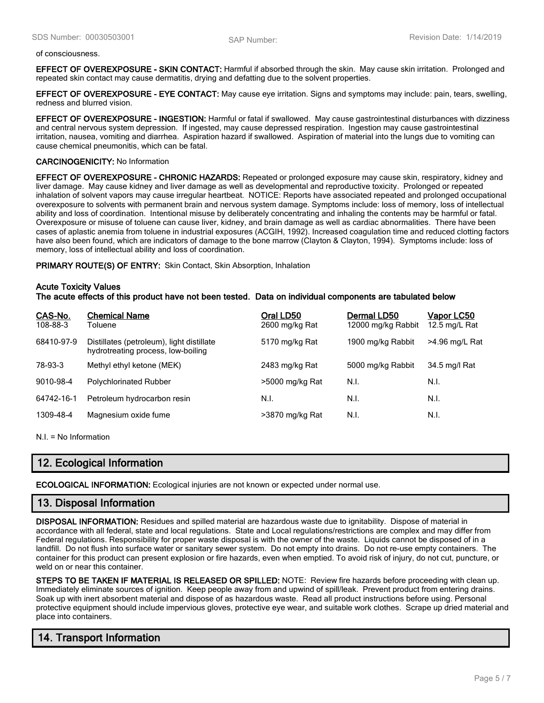#### of consciousness.

**EFFECT OF OVEREXPOSURE - SKIN CONTACT:** Harmful if absorbed through the skin. May cause skin irritation. Prolonged and repeated skin contact may cause dermatitis, drying and defatting due to the solvent properties.

**EFFECT OF OVEREXPOSURE - EYE CONTACT:** May cause eye irritation. Signs and symptoms may include: pain, tears, swelling, redness and blurred vision.

**EFFECT OF OVEREXPOSURE - INGESTION:** Harmful or fatal if swallowed. May cause gastrointestinal disturbances with dizziness and central nervous system depression. If ingested, may cause depressed respiration. Ingestion may cause gastrointestinal irritation, nausea, vomiting and diarrhea. Aspiration hazard if swallowed. Aspiration of material into the lungs due to vomiting can cause chemical pneumonitis, which can be fatal.

#### **CARCINOGENICITY:** No Information

**EFFECT OF OVEREXPOSURE - CHRONIC HAZARDS:** Repeated or prolonged exposure may cause skin, respiratory, kidney and liver damage. May cause kidney and liver damage as well as developmental and reproductive toxicity. Prolonged or repeated inhalation of solvent vapors may cause irregular heartbeat. NOTICE: Reports have associated repeated and prolonged occupational overexposure to solvents with permanent brain and nervous system damage. Symptoms include: loss of memory, loss of intellectual ability and loss of coordination. Intentional misuse by deliberately concentrating and inhaling the contents may be harmful or fatal. Overexposure or misuse of toluene can cause liver, kidney, and brain damage as well as cardiac abnormalities. There have been cases of aplastic anemia from toluene in industrial exposures (ACGIH, 1992). Increased coagulation time and reduced clotting factors have also been found, which are indicators of damage to the bone marrow (Clayton & Clayton, 1994). Symptoms include: loss of memory, loss of intellectual ability and loss of coordination.

**PRIMARY ROUTE(S) OF ENTRY:** Skin Contact, Skin Absorption, Inhalation

### **Acute Toxicity Values**

**The acute effects of this product have not been tested. Data on individual components are tabulated below**

| CAS-No.<br>108-88-3 | <b>Chemical Name</b><br>Toluene                                                 | Oral LD50<br>2600 mg/kg Rat | Dermal LD50<br>12000 mg/kg Rabbit | Vapor LC50<br>12.5 mg/L Rat |
|---------------------|---------------------------------------------------------------------------------|-----------------------------|-----------------------------------|-----------------------------|
| 68410-97-9          | Distillates (petroleum), light distillate<br>hydrotreating process, low-boiling | 5170 mg/kg Rat              | 1900 mg/kg Rabbit                 | >4.96 mg/L Rat              |
| 78-93-3             | Methyl ethyl ketone (MEK)                                                       | 2483 mg/kg Rat              | 5000 mg/kg Rabbit                 | 34.5 mg/l Rat               |
| 9010-98-4           | <b>Polychlorinated Rubber</b>                                                   | >5000 mg/kg Rat             | N.I.                              | N.I.                        |
| 64742-16-1          | Petroleum hydrocarbon resin                                                     | N.I.                        | N.I.                              | N.I.                        |
| 1309-48-4           | Magnesium oxide fume                                                            | >3870 mg/kg Rat             | N.I.                              | N.I.                        |

N.I. = No Information

# **12. Ecological Information**

**ECOLOGICAL INFORMATION:** Ecological injuries are not known or expected under normal use.

## **13. Disposal Information**

**DISPOSAL INFORMATION:** Residues and spilled material are hazardous waste due to ignitability. Dispose of material in accordance with all federal, state and local regulations. State and Local regulations/restrictions are complex and may differ from Federal regulations. Responsibility for proper waste disposal is with the owner of the waste. Liquids cannot be disposed of in a landfill. Do not flush into surface water or sanitary sewer system. Do not empty into drains. Do not re-use empty containers. The container for this product can present explosion or fire hazards, even when emptied. To avoid risk of injury, do not cut, puncture, or weld on or near this container.

**STEPS TO BE TAKEN IF MATERIAL IS RELEASED OR SPILLED:** NOTE: Review fire hazards before proceeding with clean up. Immediately eliminate sources of ignition. Keep people away from and upwind of spill/leak. Prevent product from entering drains. Soak up with inert absorbent material and dispose of as hazardous waste. Read all product instructions before using. Personal protective equipment should include impervious gloves, protective eye wear, and suitable work clothes. Scrape up dried material and place into containers.

# **14. Transport Information**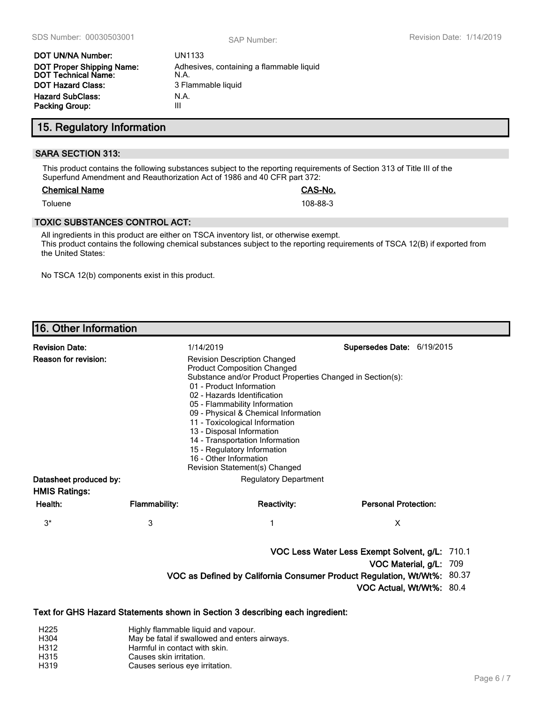Adhesives, containing a flammable liquid

| DOT UN/NA Number:                                              | UN1133                      |
|----------------------------------------------------------------|-----------------------------|
| <b>DOT Proper Shipping Name:</b><br><b>DOT Technical Name:</b> | Adhesives, containi<br>N.A. |
| <b>DOT Hazard Class:</b>                                       | 3 Flammable liquid          |
| <b>Hazard SubClass:</b>                                        | N.A.                        |
| <b>Packing Group:</b>                                          | Ш                           |

**15. Regulatory Information**

## **SARA SECTION 313:**

This product contains the following substances subject to the reporting requirements of Section 313 of Title III of the Superfund Amendment and Reauthorization Act of 1986 and 40 CFR part 372:

### **Chemical Name CAS-No.**

Toluene 108-88-3

## **TOXIC SUBSTANCES CONTROL ACT:**

All ingredients in this product are either on TSCA inventory list, or otherwise exempt. This product contains the following chemical substances subject to the reporting requirements of TSCA 12(B) if exported from the United States:

No TSCA 12(b) components exist in this product.

# **16. Other Information**

| <b>Revision Date:</b>                          |                      | 1/14/2019                                                                                                                                                                                                                                                                                                                                                                                                                                                               | Supersedes Date: 6/19/2015                                                 |                        |  |
|------------------------------------------------|----------------------|-------------------------------------------------------------------------------------------------------------------------------------------------------------------------------------------------------------------------------------------------------------------------------------------------------------------------------------------------------------------------------------------------------------------------------------------------------------------------|----------------------------------------------------------------------------|------------------------|--|
| <b>Reason for revision:</b>                    |                      | <b>Revision Description Changed</b><br><b>Product Composition Changed</b><br>Substance and/or Product Properties Changed in Section(s):<br>01 - Product Information<br>02 - Hazards Identification<br>05 - Flammability Information<br>09 - Physical & Chemical Information<br>11 - Toxicological Information<br>13 - Disposal Information<br>14 - Transportation Information<br>15 - Regulatory Information<br>16 - Other Information<br>Revision Statement(s) Changed |                                                                            |                        |  |
| Datasheet produced by:<br><b>HMIS Ratings:</b> |                      | <b>Regulatory Department</b>                                                                                                                                                                                                                                                                                                                                                                                                                                            |                                                                            |                        |  |
| Health:                                        | <b>Flammability:</b> | <b>Reactivity:</b>                                                                                                                                                                                                                                                                                                                                                                                                                                                      | <b>Personal Protection:</b>                                                |                        |  |
| $3^*$                                          | 3                    |                                                                                                                                                                                                                                                                                                                                                                                                                                                                         | X                                                                          |                        |  |
|                                                |                      | VOC as Defined by California Consumer Product Regulation, Wt/Wt%: 80.37                                                                                                                                                                                                                                                                                                                                                                                                 | VOC Less Water Less Exempt Solvent, g/L: 710.1<br>VOC Actual, Wt/Wt%: 80.4 | VOC Material, g/L: 709 |  |

**Text for GHS Hazard Statements shown in Section 3 describing each ingredient:**

- H225 Highly flammable liquid and vapour.<br>H304 H304 H304 H304
- May be fatal if swallowed and enters airways.
- H312 Harmful in contact with skin.
- H315 Causes skin irritation.<br>
H319 Causes serious eve ir
- Causes serious eye irritation.